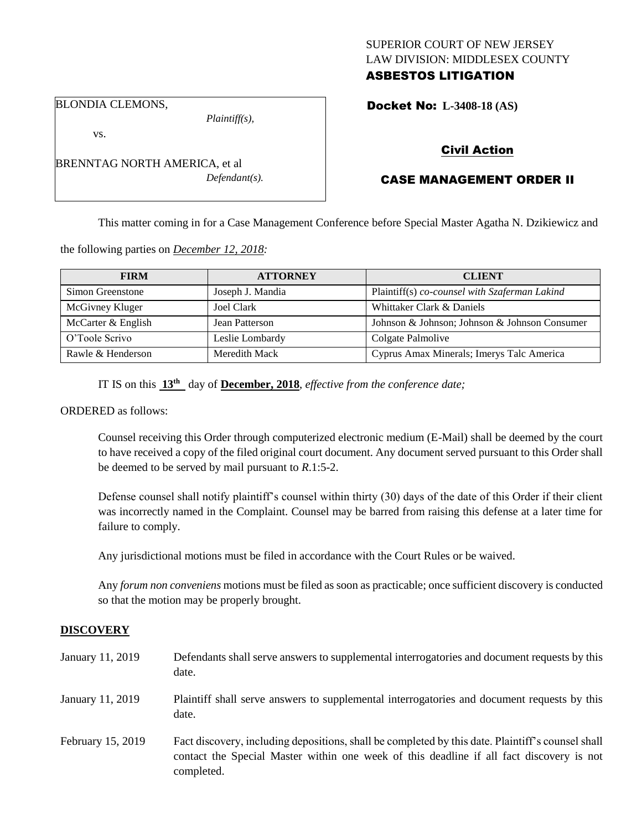## SUPERIOR COURT OF NEW JERSEY LAW DIVISION: MIDDLESEX COUNTY ASBESTOS LITIGATION

Docket No: **L-3408-18 (AS)** 

BLONDIA CLEMONS,

vs.

*Plaintiff(s),*

Civil Action

# CASE MANAGEMENT ORDER II

This matter coming in for a Case Management Conference before Special Master Agatha N. Dzikiewicz and

the following parties on *December 12, 2018:*

| <b>FIRM</b>        | <b>ATTORNEY</b>  | <b>CLIENT</b>                                 |
|--------------------|------------------|-----------------------------------------------|
| Simon Greenstone   | Joseph J. Mandia | Plaintiff(s) co-counsel with Szaferman Lakind |
| McGivney Kluger    | Joel Clark       | Whittaker Clark & Daniels                     |
| McCarter & English | Jean Patterson   | Johnson & Johnson; Johnson & Johnson Consumer |
| O'Toole Scrivo     | Leslie Lombardy  | Colgate Palmolive                             |
| Rawle & Henderson  | Meredith Mack    | Cyprus Amax Minerals; Imerys Talc America     |

IT IS on this **13th** day of **December, 2018**, *effective from the conference date;*

ORDERED as follows:

Counsel receiving this Order through computerized electronic medium (E-Mail) shall be deemed by the court to have received a copy of the filed original court document. Any document served pursuant to this Order shall be deemed to be served by mail pursuant to *R*.1:5-2.

Defense counsel shall notify plaintiff's counsel within thirty (30) days of the date of this Order if their client was incorrectly named in the Complaint. Counsel may be barred from raising this defense at a later time for failure to comply.

Any jurisdictional motions must be filed in accordance with the Court Rules or be waived.

Any *forum non conveniens* motions must be filed as soon as practicable; once sufficient discovery is conducted so that the motion may be properly brought.

#### **DISCOVERY**

| January 11, 2019  | Defendants shall serve answers to supplemental interrogatories and document requests by this<br>date.                                                                                                       |
|-------------------|-------------------------------------------------------------------------------------------------------------------------------------------------------------------------------------------------------------|
| January 11, 2019  | Plaintiff shall serve answers to supplemental interrogatories and document requests by this<br>date.                                                                                                        |
| February 15, 2019 | Fact discovery, including depositions, shall be completed by this date. Plaintiff's counsel shall<br>contact the Special Master within one week of this deadline if all fact discovery is not<br>completed. |

BRENNTAG NORTH AMERICA, et al *Defendant(s).*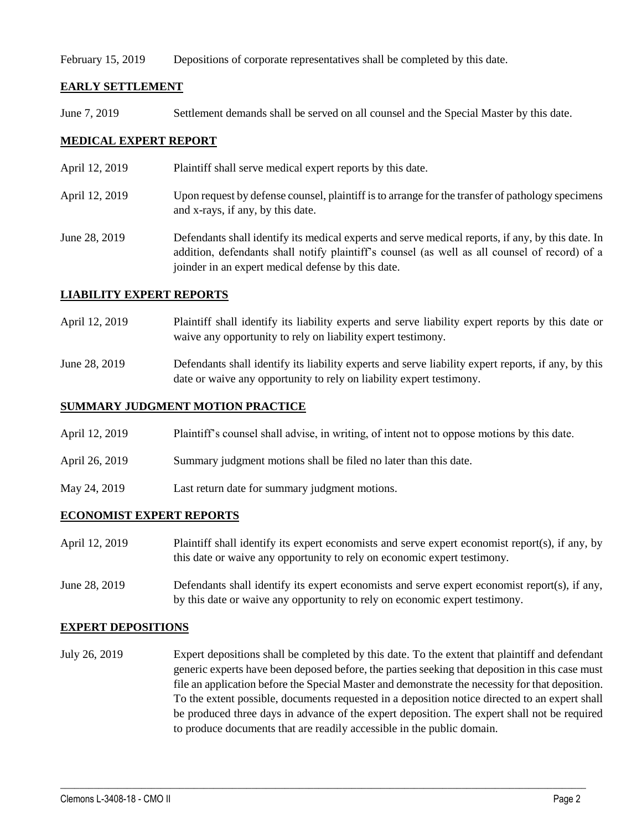February 15, 2019 Depositions of corporate representatives shall be completed by this date.

## **EARLY SETTLEMENT**

June 7, 2019 Settlement demands shall be served on all counsel and the Special Master by this date.

## **MEDICAL EXPERT REPORT**

- April 12, 2019 Plaint if shall serve medical expert reports by this date.
- April 12, 2019 Upon request by defense counsel, plaintiff is to arrange for the transfer of pathology specimens and x-rays, if any, by this date.
- June 28, 2019 Defendants shall identify its medical experts and serve medical reports, if any, by this date. In addition, defendants shall notify plaintiff's counsel (as well as all counsel of record) of a joinder in an expert medical defense by this date.

### **LIABILITY EXPERT REPORTS**

- April 12, 2019 Plaintiff shall identify its liability experts and serve liability expert reports by this date or waive any opportunity to rely on liability expert testimony.
- June 28, 2019 Defendants shall identify its liability experts and serve liability expert reports, if any, by this date or waive any opportunity to rely on liability expert testimony.

## **SUMMARY JUDGMENT MOTION PRACTICE**

- April 12, 2019 Plaintiff's counsel shall advise, in writing, of intent not to oppose motions by this date.
- April 26, 2019 Summary judgment motions shall be filed no later than this date.
- May 24, 2019 Last return date for summary judgment motions.

## **ECONOMIST EXPERT REPORTS**

- April 12, 2019 Plaintiff shall identify its expert economists and serve expert economist report(s), if any, by this date or waive any opportunity to rely on economic expert testimony.
- June 28, 2019 Defendants shall identify its expert economists and serve expert economist report(s), if any, by this date or waive any opportunity to rely on economic expert testimony.

#### **EXPERT DEPOSITIONS**

July 26, 2019 Expert depositions shall be completed by this date. To the extent that plaintiff and defendant generic experts have been deposed before, the parties seeking that deposition in this case must file an application before the Special Master and demonstrate the necessity for that deposition. To the extent possible, documents requested in a deposition notice directed to an expert shall be produced three days in advance of the expert deposition. The expert shall not be required to produce documents that are readily accessible in the public domain.

 $\_$  ,  $\_$  ,  $\_$  ,  $\_$  ,  $\_$  ,  $\_$  ,  $\_$  ,  $\_$  ,  $\_$  ,  $\_$  ,  $\_$  ,  $\_$  ,  $\_$  ,  $\_$  ,  $\_$  ,  $\_$  ,  $\_$  ,  $\_$  ,  $\_$  ,  $\_$  ,  $\_$  ,  $\_$  ,  $\_$  ,  $\_$  ,  $\_$  ,  $\_$  ,  $\_$  ,  $\_$  ,  $\_$  ,  $\_$  ,  $\_$  ,  $\_$  ,  $\_$  ,  $\_$  ,  $\_$  ,  $\_$  ,  $\_$  ,